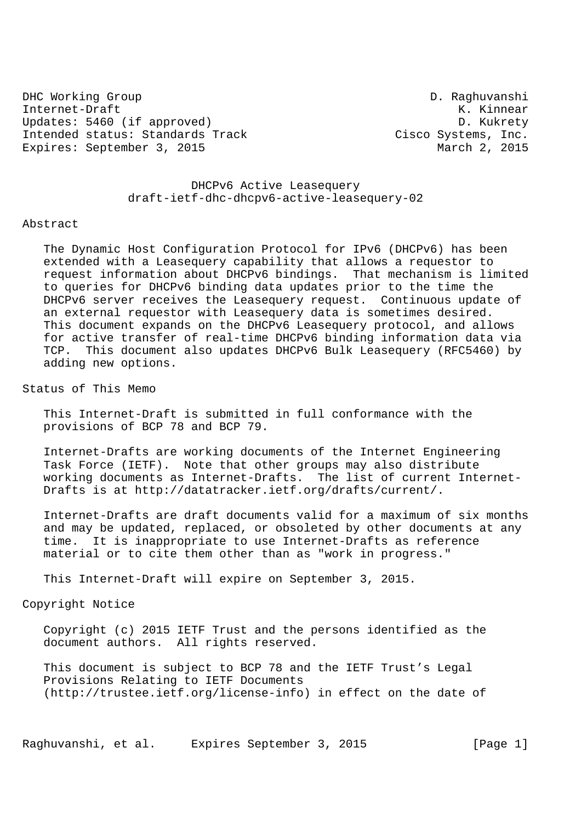DHC Working Group D. Raghuvanshi Internet-Draft K. Kinnear Updates: 5460 (if approved) D. Kukrety Intended status: Standards Track Cisco Systems, Inc.<br>Expires: September 3, 2015 Expires: September 3, 2015

 DHCPv6 Active Leasequery draft-ietf-dhc-dhcpv6-active-leasequery-02

### Abstract

 The Dynamic Host Configuration Protocol for IPv6 (DHCPv6) has been extended with a Leasequery capability that allows a requestor to request information about DHCPv6 bindings. That mechanism is limited to queries for DHCPv6 binding data updates prior to the time the DHCPv6 server receives the Leasequery request. Continuous update of an external requestor with Leasequery data is sometimes desired. This document expands on the DHCPv6 Leasequery protocol, and allows for active transfer of real-time DHCPv6 binding information data via TCP. This document also updates DHCPv6 Bulk Leasequery (RFC5460) by adding new options.

Status of This Memo

 This Internet-Draft is submitted in full conformance with the provisions of BCP 78 and BCP 79.

 Internet-Drafts are working documents of the Internet Engineering Task Force (IETF). Note that other groups may also distribute working documents as Internet-Drafts. The list of current Internet- Drafts is at http://datatracker.ietf.org/drafts/current/.

 Internet-Drafts are draft documents valid for a maximum of six months and may be updated, replaced, or obsoleted by other documents at any time. It is inappropriate to use Internet-Drafts as reference material or to cite them other than as "work in progress."

This Internet-Draft will expire on September 3, 2015.

Copyright Notice

 Copyright (c) 2015 IETF Trust and the persons identified as the document authors. All rights reserved.

 This document is subject to BCP 78 and the IETF Trust's Legal Provisions Relating to IETF Documents (http://trustee.ietf.org/license-info) in effect on the date of

Raghuvanshi, et al. Expires September 3, 2015 [Page 1]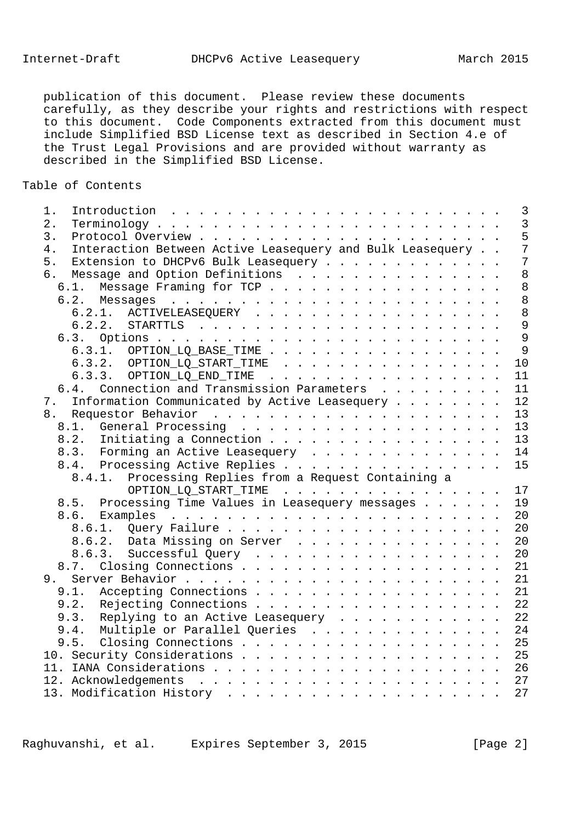publication of this document. Please review these documents carefully, as they describe your rights and restrictions with respect to this document. Code Components extracted from this document must include Simplified BSD License text as described in Section 4.e of the Trust Legal Provisions and are provided without warranty as described in the Simplified BSD License.

# Table of Contents

| 1. |        |                                                           |  |  |  |  |  |  |  | $\overline{\mathbf{3}}$ |
|----|--------|-----------------------------------------------------------|--|--|--|--|--|--|--|-------------------------|
| 2. |        |                                                           |  |  |  |  |  |  |  | $\overline{3}$          |
| 3. |        |                                                           |  |  |  |  |  |  |  | 5                       |
| 4. |        | Interaction Between Active Leasequery and Bulk Leasequery |  |  |  |  |  |  |  | $\overline{7}$          |
| 5. |        | Extension to DHCPv6 Bulk Leasequery                       |  |  |  |  |  |  |  | $\overline{7}$          |
| 6. |        | Message and Option Definitions                            |  |  |  |  |  |  |  | 8                       |
|    |        | 6.1. Message Framing for TCP                              |  |  |  |  |  |  |  | 8                       |
|    |        |                                                           |  |  |  |  |  |  |  | 8                       |
|    |        | 6.2.1. ACTIVELEASEQUERY                                   |  |  |  |  |  |  |  | 8 <sup>8</sup>          |
|    |        |                                                           |  |  |  |  |  |  |  | $\overline{9}$          |
|    |        |                                                           |  |  |  |  |  |  |  | $\overline{9}$          |
|    |        | 6.3.1. OPTION_LQ_BASE_TIME                                |  |  |  |  |  |  |  | $\overline{9}$          |
|    |        | $6.3.2.$ OPTION_LQ_START_TIME                             |  |  |  |  |  |  |  | 10                      |
|    |        | 6.3.3. OPTION_LQ_END_TIME                                 |  |  |  |  |  |  |  | 11                      |
|    |        | 6.4. Connection and Transmission Parameters               |  |  |  |  |  |  |  | 11                      |
| 7. |        | Information Communicated by Active Leasequery             |  |  |  |  |  |  |  | 12                      |
|    |        |                                                           |  |  |  |  |  |  |  | 13                      |
|    |        |                                                           |  |  |  |  |  |  |  | 13                      |
|    |        | 8.2. Initiating a Connection                              |  |  |  |  |  |  |  | 13                      |
|    |        | 8.3. Forming an Active Leasequery                         |  |  |  |  |  |  |  | 14                      |
|    |        | 8.4. Processing Active Replies 15                         |  |  |  |  |  |  |  |                         |
|    | 8.4.1. | Processing Replies from a Request Containing a            |  |  |  |  |  |  |  |                         |
|    |        | OPTION_LQ_START_TIME 17                                   |  |  |  |  |  |  |  |                         |
|    |        | 8.5. Processing Time Values in Leasequery messages 19     |  |  |  |  |  |  |  |                         |
|    |        |                                                           |  |  |  |  |  |  |  |                         |
|    |        |                                                           |  |  |  |  |  |  |  | 20                      |
|    |        | 8.6.2. Data Missing on Server                             |  |  |  |  |  |  |  | 20                      |
|    |        | 8.6.3. Successful Query                                   |  |  |  |  |  |  |  | 20                      |
|    |        |                                                           |  |  |  |  |  |  |  | 21                      |
|    |        |                                                           |  |  |  |  |  |  |  |                         |
|    | 9.1.   | Accepting Connections 21                                  |  |  |  |  |  |  |  |                         |
|    |        | 9.2. Rejecting Connections 22                             |  |  |  |  |  |  |  |                         |
|    |        | 9.3. Replying to an Active Leasequery 22                  |  |  |  |  |  |  |  |                         |
|    |        | 9.4. Multiple or Parallel Queries                         |  |  |  |  |  |  |  | 24                      |
|    |        | 9.5. Closing Connections 25                               |  |  |  |  |  |  |  |                         |
|    |        | 10. Security Considerations 25                            |  |  |  |  |  |  |  |                         |
|    |        |                                                           |  |  |  |  |  |  |  |                         |
|    |        |                                                           |  |  |  |  |  |  |  |                         |
|    |        |                                                           |  |  |  |  |  |  |  | 27                      |
|    |        |                                                           |  |  |  |  |  |  |  |                         |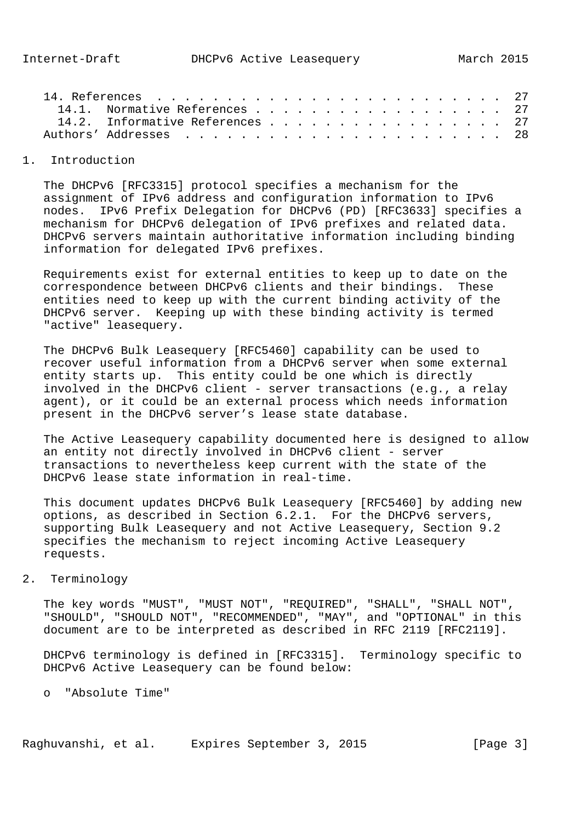|  | 14.1. Normative References 27   |  |
|--|---------------------------------|--|
|  | 14.2. Informative References 27 |  |
|  |                                 |  |
|  |                                 |  |

### 1. Introduction

 The DHCPv6 [RFC3315] protocol specifies a mechanism for the assignment of IPv6 address and configuration information to IPv6 nodes. IPv6 Prefix Delegation for DHCPv6 (PD) [RFC3633] specifies a mechanism for DHCPv6 delegation of IPv6 prefixes and related data. DHCPv6 servers maintain authoritative information including binding information for delegated IPv6 prefixes.

 Requirements exist for external entities to keep up to date on the correspondence between DHCPv6 clients and their bindings. These entities need to keep up with the current binding activity of the DHCPv6 server. Keeping up with these binding activity is termed "active" leasequery.

 The DHCPv6 Bulk Leasequery [RFC5460] capability can be used to recover useful information from a DHCPv6 server when some external entity starts up. This entity could be one which is directly involved in the DHCPv6 client - server transactions (e.g., a relay agent), or it could be an external process which needs information present in the DHCPv6 server's lease state database.

 The Active Leasequery capability documented here is designed to allow an entity not directly involved in DHCPv6 client - server transactions to nevertheless keep current with the state of the DHCPv6 lease state information in real-time.

 This document updates DHCPv6 Bulk Leasequery [RFC5460] by adding new options, as described in Section 6.2.1. For the DHCPv6 servers, supporting Bulk Leasequery and not Active Leasequery, Section 9.2 specifies the mechanism to reject incoming Active Leasequery requests.

## 2. Terminology

 The key words "MUST", "MUST NOT", "REQUIRED", "SHALL", "SHALL NOT", "SHOULD", "SHOULD NOT", "RECOMMENDED", "MAY", and "OPTIONAL" in this document are to be interpreted as described in RFC 2119 [RFC2119].

 DHCPv6 terminology is defined in [RFC3315]. Terminology specific to DHCPv6 Active Leasequery can be found below:

o "Absolute Time"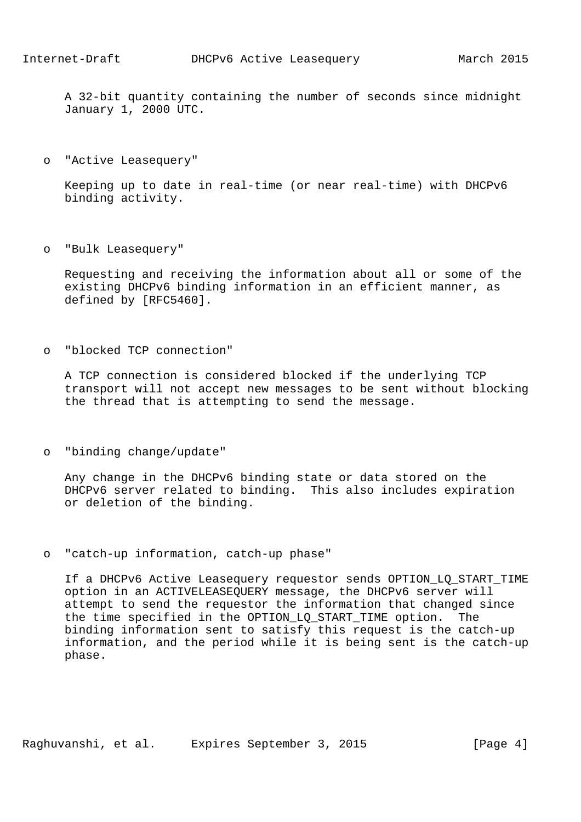A 32-bit quantity containing the number of seconds since midnight January 1, 2000 UTC.

o "Active Leasequery"

 Keeping up to date in real-time (or near real-time) with DHCPv6 binding activity.

o "Bulk Leasequery"

 Requesting and receiving the information about all or some of the existing DHCPv6 binding information in an efficient manner, as defined by [RFC5460].

o "blocked TCP connection"

 A TCP connection is considered blocked if the underlying TCP transport will not accept new messages to be sent without blocking the thread that is attempting to send the message.

o "binding change/update"

 Any change in the DHCPv6 binding state or data stored on the DHCPv6 server related to binding. This also includes expiration or deletion of the binding.

o "catch-up information, catch-up phase"

 If a DHCPv6 Active Leasequery requestor sends OPTION\_LQ\_START\_TIME option in an ACTIVELEASEQUERY message, the DHCPv6 server will attempt to send the requestor the information that changed since the time specified in the OPTION LO START TIME option. The binding information sent to satisfy this request is the catch-up information, and the period while it is being sent is the catch-up phase.

Raghuvanshi, et al. Expires September 3, 2015 [Page 4]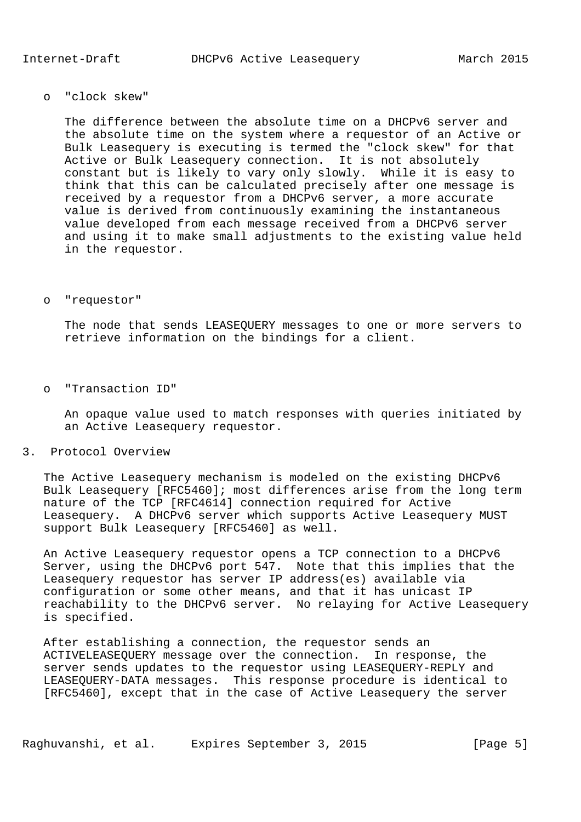o "clock skew"

 The difference between the absolute time on a DHCPv6 server and the absolute time on the system where a requestor of an Active or Bulk Leasequery is executing is termed the "clock skew" for that Active or Bulk Leasequery connection. It is not absolutely constant but is likely to vary only slowly. While it is easy to think that this can be calculated precisely after one message is received by a requestor from a DHCPv6 server, a more accurate value is derived from continuously examining the instantaneous value developed from each message received from a DHCPv6 server and using it to make small adjustments to the existing value held in the requestor.

o "requestor"

 The node that sends LEASEQUERY messages to one or more servers to retrieve information on the bindings for a client.

o "Transaction ID"

 An opaque value used to match responses with queries initiated by an Active Leasequery requestor.

3. Protocol Overview

 The Active Leasequery mechanism is modeled on the existing DHCPv6 Bulk Leasequery [RFC5460]; most differences arise from the long term nature of the TCP [RFC4614] connection required for Active Leasequery. A DHCPv6 server which supports Active Leasequery MUST support Bulk Leasequery [RFC5460] as well.

 An Active Leasequery requestor opens a TCP connection to a DHCPv6 Server, using the DHCPv6 port 547. Note that this implies that the Leasequery requestor has server IP address(es) available via configuration or some other means, and that it has unicast IP reachability to the DHCPv6 server. No relaying for Active Leasequery is specified.

 After establishing a connection, the requestor sends an ACTIVELEASEQUERY message over the connection. In response, the server sends updates to the requestor using LEASEQUERY-REPLY and LEASEQUERY-DATA messages. This response procedure is identical to [RFC5460], except that in the case of Active Leasequery the server

Raghuvanshi, et al. Expires September 3, 2015 [Page 5]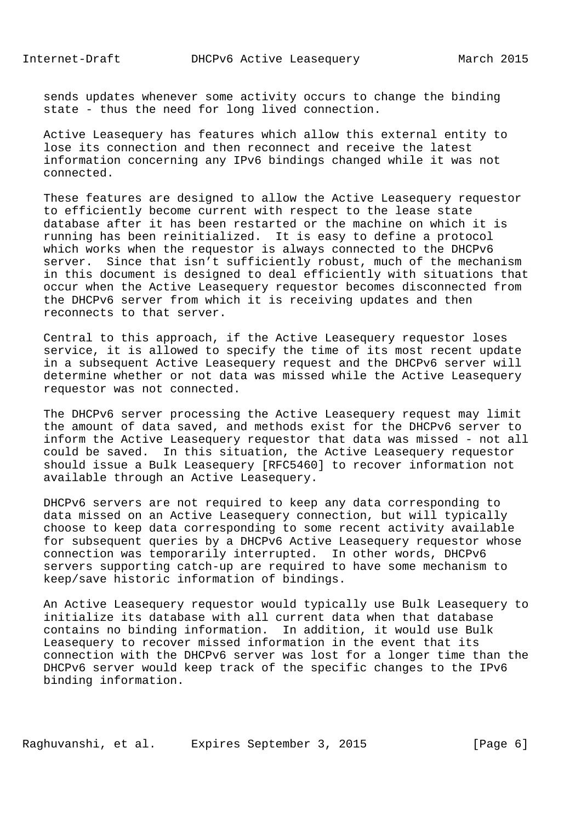sends updates whenever some activity occurs to change the binding state - thus the need for long lived connection.

 Active Leasequery has features which allow this external entity to lose its connection and then reconnect and receive the latest information concerning any IPv6 bindings changed while it was not connected.

 These features are designed to allow the Active Leasequery requestor to efficiently become current with respect to the lease state database after it has been restarted or the machine on which it is running has been reinitialized. It is easy to define a protocol which works when the requestor is always connected to the DHCPv6 server. Since that isn't sufficiently robust, much of the mechanism in this document is designed to deal efficiently with situations that occur when the Active Leasequery requestor becomes disconnected from the DHCPv6 server from which it is receiving updates and then reconnects to that server.

 Central to this approach, if the Active Leasequery requestor loses service, it is allowed to specify the time of its most recent update in a subsequent Active Leasequery request and the DHCPv6 server will determine whether or not data was missed while the Active Leasequery requestor was not connected.

 The DHCPv6 server processing the Active Leasequery request may limit the amount of data saved, and methods exist for the DHCPv6 server to inform the Active Leasequery requestor that data was missed - not all could be saved. In this situation, the Active Leasequery requestor should issue a Bulk Leasequery [RFC5460] to recover information not available through an Active Leasequery.

 DHCPv6 servers are not required to keep any data corresponding to data missed on an Active Leasequery connection, but will typically choose to keep data corresponding to some recent activity available for subsequent queries by a DHCPv6 Active Leasequery requestor whose connection was temporarily interrupted. In other words, DHCPv6 servers supporting catch-up are required to have some mechanism to keep/save historic information of bindings.

 An Active Leasequery requestor would typically use Bulk Leasequery to initialize its database with all current data when that database contains no binding information. In addition, it would use Bulk Leasequery to recover missed information in the event that its connection with the DHCPv6 server was lost for a longer time than the DHCPv6 server would keep track of the specific changes to the IPv6 binding information.

Raghuvanshi, et al. Expires September 3, 2015 [Page 6]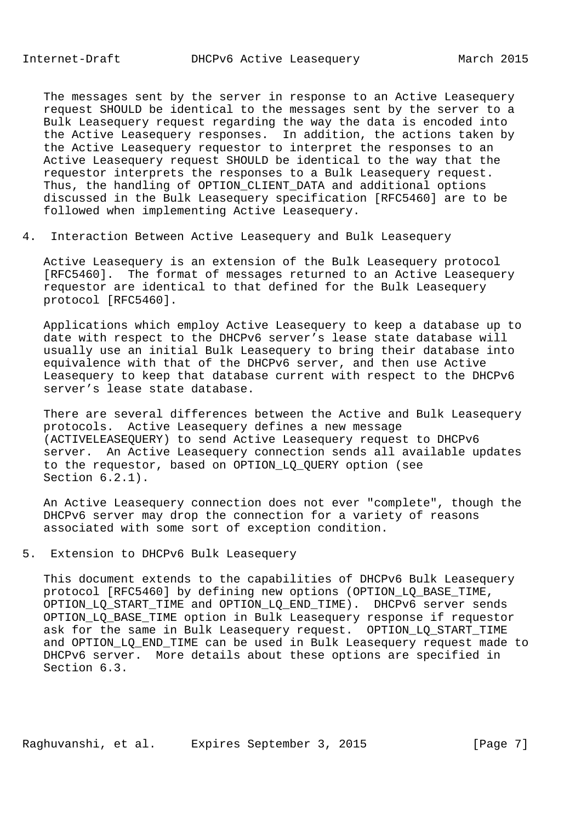The messages sent by the server in response to an Active Leasequery request SHOULD be identical to the messages sent by the server to a Bulk Leasequery request regarding the way the data is encoded into the Active Leasequery responses. In addition, the actions taken by the Active Leasequery requestor to interpret the responses to an Active Leasequery request SHOULD be identical to the way that the requestor interprets the responses to a Bulk Leasequery request. Thus, the handling of OPTION\_CLIENT\_DATA and additional options discussed in the Bulk Leasequery specification [RFC5460] are to be followed when implementing Active Leasequery.

4. Interaction Between Active Leasequery and Bulk Leasequery

 Active Leasequery is an extension of the Bulk Leasequery protocol [RFC5460]. The format of messages returned to an Active Leasequery requestor are identical to that defined for the Bulk Leasequery protocol [RFC5460].

 Applications which employ Active Leasequery to keep a database up to date with respect to the DHCPv6 server's lease state database will usually use an initial Bulk Leasequery to bring their database into equivalence with that of the DHCPv6 server, and then use Active Leasequery to keep that database current with respect to the DHCPv6 server's lease state database.

 There are several differences between the Active and Bulk Leasequery protocols. Active Leasequery defines a new message (ACTIVELEASEQUERY) to send Active Leasequery request to DHCPv6 server. An Active Leasequery connection sends all available updates to the requestor, based on OPTION\_LQ\_QUERY option (see Section 6.2.1).

 An Active Leasequery connection does not ever "complete", though the DHCPv6 server may drop the connection for a variety of reasons associated with some sort of exception condition.

5. Extension to DHCPv6 Bulk Leasequery

 This document extends to the capabilities of DHCPv6 Bulk Leasequery protocol [RFC5460] by defining new options (OPTION\_LQ\_BASE\_TIME, OPTION LO START TIME and OPTION LO END TIME). DHCPv6 server sends OPTION LO BASE TIME option in Bulk Leasequery response if requestor ask for the same in Bulk Leasequery request. OPTION\_LQ\_START\_TIME and OPTION\_LQ\_END\_TIME can be used in Bulk Leasequery request made to DHCPv6 server. More details about these options are specified in Section 6.3.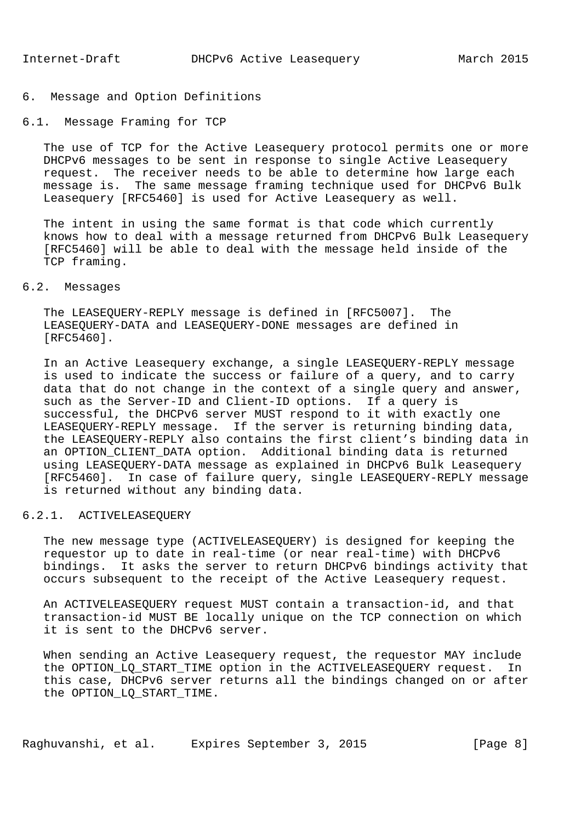# 6. Message and Option Definitions

### 6.1. Message Framing for TCP

 The use of TCP for the Active Leasequery protocol permits one or more DHCPv6 messages to be sent in response to single Active Leasequery request. The receiver needs to be able to determine how large each message is. The same message framing technique used for DHCPv6 Bulk Leasequery [RFC5460] is used for Active Leasequery as well.

 The intent in using the same format is that code which currently knows how to deal with a message returned from DHCPv6 Bulk Leasequery [RFC5460] will be able to deal with the message held inside of the TCP framing.

## 6.2. Messages

 The LEASEQUERY-REPLY message is defined in [RFC5007]. The LEASEQUERY-DATA and LEASEQUERY-DONE messages are defined in [RFC5460].

 In an Active Leasequery exchange, a single LEASEQUERY-REPLY message is used to indicate the success or failure of a query, and to carry data that do not change in the context of a single query and answer, such as the Server-ID and Client-ID options. If a query is successful, the DHCPv6 server MUST respond to it with exactly one LEASEQUERY-REPLY message. If the server is returning binding data, the LEASEQUERY-REPLY also contains the first client's binding data in an OPTION\_CLIENT\_DATA option. Additional binding data is returned using LEASEQUERY-DATA message as explained in DHCPv6 Bulk Leasequery [RFC5460]. In case of failure query, single LEASEQUERY-REPLY message is returned without any binding data.

### 6.2.1. ACTIVELEASEQUERY

 The new message type (ACTIVELEASEQUERY) is designed for keeping the requestor up to date in real-time (or near real-time) with DHCPv6 bindings. It asks the server to return DHCPv6 bindings activity that occurs subsequent to the receipt of the Active Leasequery request.

 An ACTIVELEASEQUERY request MUST contain a transaction-id, and that transaction-id MUST BE locally unique on the TCP connection on which it is sent to the DHCPv6 server.

 When sending an Active Leasequery request, the requestor MAY include the OPTION\_LQ\_START\_TIME option in the ACTIVELEASEQUERY request. In this case, DHCPv6 server returns all the bindings changed on or after the OPTION LO START TIME.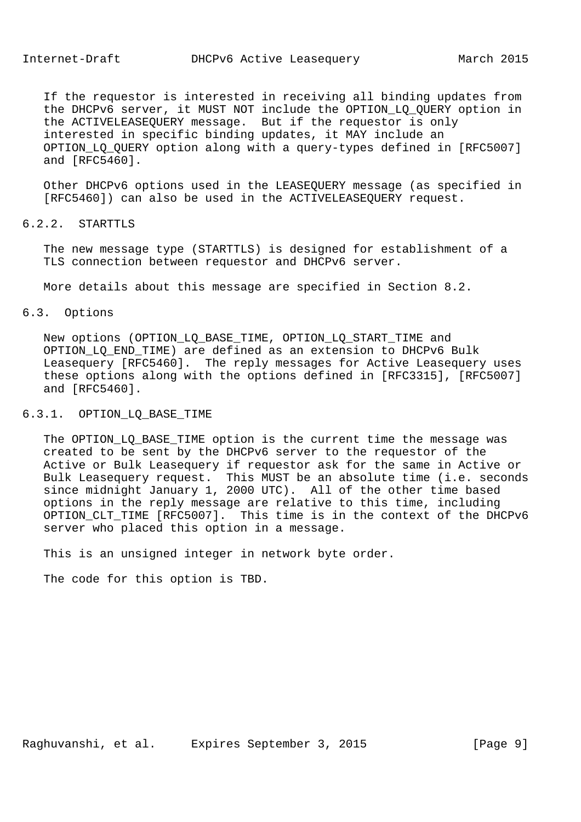If the requestor is interested in receiving all binding updates from the DHCPv6 server, it MUST NOT include the OPTION\_LQ\_QUERY option in the ACTIVELEASEQUERY message. But if the requestor is only interested in specific binding updates, it MAY include an OPTION\_LQ\_QUERY option along with a query-types defined in [RFC5007] and [RFC5460].

 Other DHCPv6 options used in the LEASEQUERY message (as specified in [RFC5460]) can also be used in the ACTIVELEASEQUERY request.

# 6.2.2. STARTTLS

 The new message type (STARTTLS) is designed for establishment of a TLS connection between requestor and DHCPv6 server.

More details about this message are specified in Section 8.2.

## 6.3. Options

 New options (OPTION\_LQ\_BASE\_TIME, OPTION\_LQ\_START\_TIME and OPTION\_LQ\_END\_TIME) are defined as an extension to DHCPv6 Bulk Leasequery [RFC5460]. The reply messages for Active Leasequery uses these options along with the options defined in [RFC3315], [RFC5007] and [RFC5460].

# 6.3.1. OPTION\_LQ\_BASE\_TIME

 The OPTION\_LQ\_BASE\_TIME option is the current time the message was created to be sent by the DHCPv6 server to the requestor of the Active or Bulk Leasequery if requestor ask for the same in Active or Bulk Leasequery request. This MUST be an absolute time (i.e. seconds since midnight January 1, 2000 UTC). All of the other time based options in the reply message are relative to this time, including OPTION\_CLT\_TIME [RFC5007]. This time is in the context of the DHCPv6 server who placed this option in a message.

This is an unsigned integer in network byte order.

The code for this option is TBD.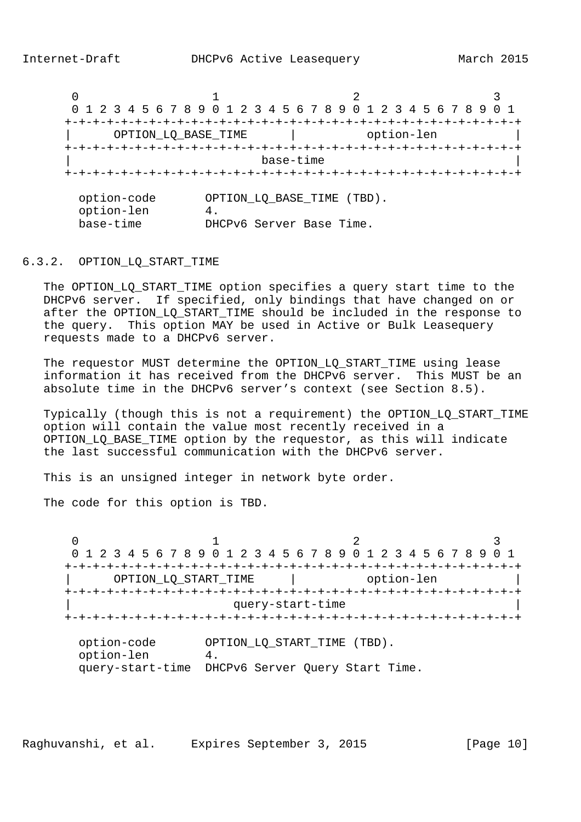$0$  and  $1$  and  $2$  3 0 1 2 3 4 5 6 7 8 9 0 1 2 3 4 5 6 7 8 9 0 1 2 3 4 5 6 7 8 9 0 1 +-+-+-+-+-+-+-+-+-+-+-+-+-+-+-+-+-+-+-+-+-+-+-+-+-+-+-+-+-+-+-+-+ | OPTION\_LQ\_BASE\_TIME | option-len | +-+-+-+-+-+-+-+-+-+-+-+-+-+-+-+-+-+-+-+-+-+-+-+-+-+-+-+-+-+-+-+-+ | base-time | +-+-+-+-+-+-+-+-+-+-+-+-+-+-+-+-+-+-+-+-+-+-+-+-+-+-+-+-+-+-+-+-+ option-code OPTION\_LQ\_BASE\_TIME (TBD). option-len 4. base-time DHCPv6 Server Base Time.

6.3.2. OPTION\_LQ\_START\_TIME

The OPTION LO START TIME option specifies a query start time to the DHCPv6 server. If specified, only bindings that have changed on or after the OPTION\_LQ\_START\_TIME should be included in the response to the query. This option MAY be used in Active or Bulk Leasequery requests made to a DHCPv6 server.

The requestor MUST determine the OPTION LO START TIME using lease information it has received from the DHCPv6 server. This MUST be an absolute time in the DHCPv6 server's context (see Section 8.5).

 Typically (though this is not a requirement) the OPTION\_LQ\_START\_TIME option will contain the value most recently received in a OPTION\_LQ\_BASE\_TIME option by the requestor, as this will indicate the last successful communication with the DHCPv6 server.

This is an unsigned integer in network byte order.

The code for this option is TBD.

 $0$  and  $1$  and  $2$  3 0 1 2 3 4 5 6 7 8 9 0 1 2 3 4 5 6 7 8 9 0 1 2 3 4 5 6 7 8 9 0 1 +-+-+-+-+-+-+-+-+-+-+-+-+-+-+-+-+-+-+-+-+-+-+-+-+-+-+-+-+-+-+-+-+ OPTION\_LQ\_START\_TIME | option-len +-+-+-+-+-+-+-+-+-+-+-+-+-+-+-+-+-+-+-+-+-+-+-+-+-+-+-+-+-+-+-+-+ query-start-time +-+-+-+-+-+-+-+-+-+-+-+-+-+-+-+-+-+-+-+-+-+-+-+-+-+-+-+-+-+-+-+-+ option-code OPTION\_LQ\_START\_TIME (TBD). option-len 4. query-start-time DHCPv6 Server Query Start Time.

Raghuvanshi, et al. Expires September 3, 2015 [Page 10]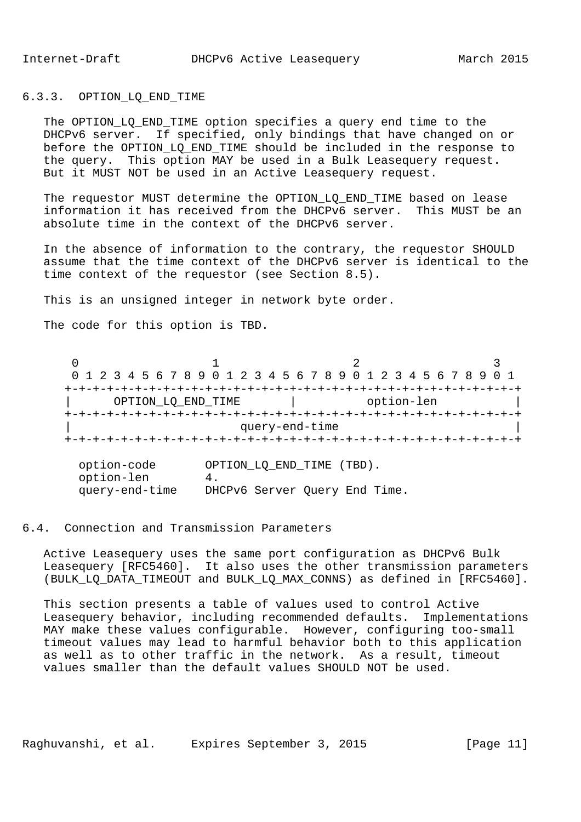#### 6.3.3. OPTION\_LQ\_END\_TIME

 The OPTION\_LQ\_END\_TIME option specifies a query end time to the DHCPv6 server. If specified, only bindings that have changed on or before the OPTION\_LQ\_END\_TIME should be included in the response to the query. This option MAY be used in a Bulk Leasequery request. But it MUST NOT be used in an Active Leasequery request.

 The requestor MUST determine the OPTION\_LQ\_END\_TIME based on lease information it has received from the DHCPv6 server. This MUST be an absolute time in the context of the DHCPv6 server.

 In the absence of information to the contrary, the requestor SHOULD assume that the time context of the DHCPv6 server is identical to the time context of the requestor (see Section 8.5).

This is an unsigned integer in network byte order.

The code for this option is TBD.

 $0$  and  $1$  and  $2$  3 0 1 2 3 4 5 6 7 8 9 0 1 2 3 4 5 6 7 8 9 0 1 2 3 4 5 6 7 8 9 0 1 +-+-+-+-+-+-+-+-+-+-+-+-+-+-+-+-+-+-+-+-+-+-+-+-+-+-+-+-+-+-+-+-+ | OPTION\_LQ\_END\_TIME | option-len | +-+-+-+-+-+-+-+-+-+-+-+-+-+-+-+-+-+-+-+-+-+-+-+-+-+-+-+-+-+-+-+-+ query-end-time +-+-+-+-+-+-+-+-+-+-+-+-+-+-+-+-+-+-+-+-+-+-+-+-+-+-+-+-+-+-+-+-+

| option-code    | OPTION_LQ_END_TIME (TBD).     |
|----------------|-------------------------------|
| option-len     |                               |
| query-end-time | DHCPv6 Server Query End Time. |

### 6.4. Connection and Transmission Parameters

 Active Leasequery uses the same port configuration as DHCPv6 Bulk Leasequery [RFC5460]. It also uses the other transmission parameters (BULK\_LQ\_DATA\_TIMEOUT and BULK\_LQ\_MAX\_CONNS) as defined in [RFC5460].

 This section presents a table of values used to control Active Leasequery behavior, including recommended defaults. Implementations MAY make these values configurable. However, configuring too-small timeout values may lead to harmful behavior both to this application as well as to other traffic in the network. As a result, timeout values smaller than the default values SHOULD NOT be used.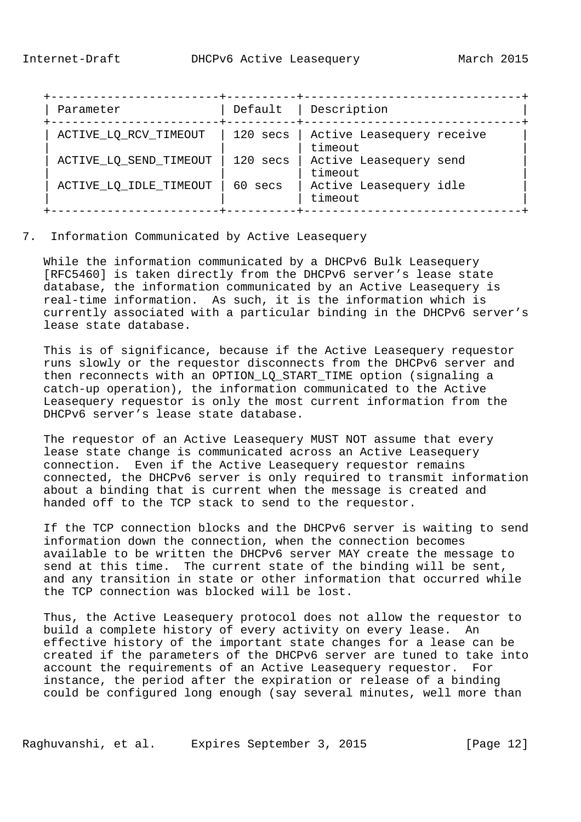| Parameter              | Default  | Description                          |
|------------------------|----------|--------------------------------------|
| ACTIVE_LQ_RCV_TIMEOUT  | 120 secs | Active Leasequery receive<br>timeout |
| ACTIVE_LQ_SEND_TIMEOUT | 120 secs | Active Leasequery send<br>timeout    |
| ACTIVE_LQ_IDLE_TIMEOUT | 60 secs  | Active Leasequery idle<br>timeout    |

7. Information Communicated by Active Leasequery

 While the information communicated by a DHCPv6 Bulk Leasequery [RFC5460] is taken directly from the DHCPv6 server's lease state database, the information communicated by an Active Leasequery is real-time information. As such, it is the information which is currently associated with a particular binding in the DHCPv6 server's lease state database.

 This is of significance, because if the Active Leasequery requestor runs slowly or the requestor disconnects from the DHCPv6 server and then reconnects with an OPTION\_LQ\_START\_TIME option (signaling a catch-up operation), the information communicated to the Active Leasequery requestor is only the most current information from the DHCPv6 server's lease state database.

 The requestor of an Active Leasequery MUST NOT assume that every lease state change is communicated across an Active Leasequery connection. Even if the Active Leasequery requestor remains connected, the DHCPv6 server is only required to transmit information about a binding that is current when the message is created and handed off to the TCP stack to send to the requestor.

 If the TCP connection blocks and the DHCPv6 server is waiting to send information down the connection, when the connection becomes available to be written the DHCPv6 server MAY create the message to send at this time. The current state of the binding will be sent, and any transition in state or other information that occurred while the TCP connection was blocked will be lost.

 Thus, the Active Leasequery protocol does not allow the requestor to build a complete history of every activity on every lease. An effective history of the important state changes for a lease can be created if the parameters of the DHCPv6 server are tuned to take into account the requirements of an Active Leasequery requestor. For instance, the period after the expiration or release of a binding could be configured long enough (say several minutes, well more than

Raghuvanshi, et al. Expires September 3, 2015 [Page 12]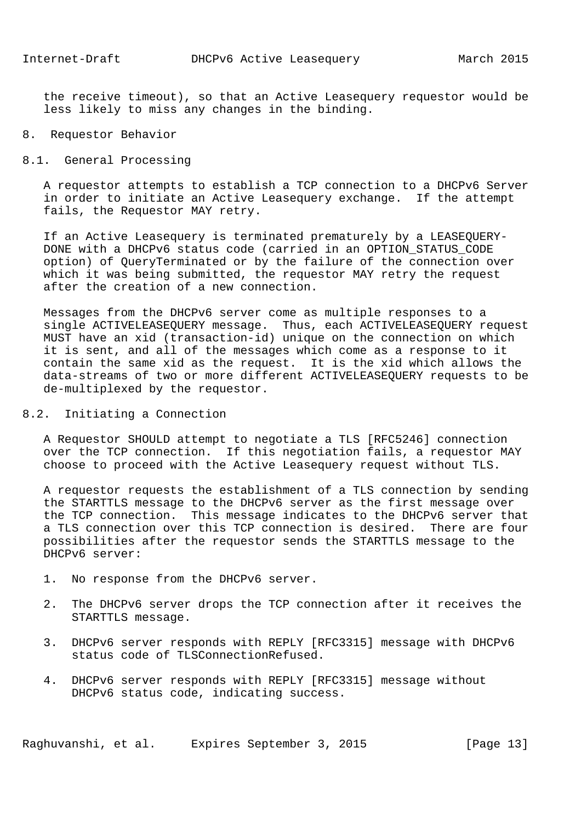the receive timeout), so that an Active Leasequery requestor would be less likely to miss any changes in the binding.

# 8. Requestor Behavior

8.1. General Processing

 A requestor attempts to establish a TCP connection to a DHCPv6 Server in order to initiate an Active Leasequery exchange. If the attempt fails, the Requestor MAY retry.

 If an Active Leasequery is terminated prematurely by a LEASEQUERY- DONE with a DHCPv6 status code (carried in an OPTION\_STATUS\_CODE option) of QueryTerminated or by the failure of the connection over which it was being submitted, the requestor MAY retry the request after the creation of a new connection.

 Messages from the DHCPv6 server come as multiple responses to a single ACTIVELEASEQUERY message. Thus, each ACTIVELEASEQUERY request MUST have an xid (transaction-id) unique on the connection on which it is sent, and all of the messages which come as a response to it contain the same xid as the request. It is the xid which allows the data-streams of two or more different ACTIVELEASEQUERY requests to be de-multiplexed by the requestor.

8.2. Initiating a Connection

 A Requestor SHOULD attempt to negotiate a TLS [RFC5246] connection over the TCP connection. If this negotiation fails, a requestor MAY choose to proceed with the Active Leasequery request without TLS.

 A requestor requests the establishment of a TLS connection by sending the STARTTLS message to the DHCPv6 server as the first message over the TCP connection. This message indicates to the DHCPv6 server that a TLS connection over this TCP connection is desired. There are four possibilities after the requestor sends the STARTTLS message to the DHCPv6 server:

- 1. No response from the DHCPv6 server.
- 2. The DHCPv6 server drops the TCP connection after it receives the STARTTLS message.
- 3. DHCPv6 server responds with REPLY [RFC3315] message with DHCPv6 status code of TLSConnectionRefused.
- 4. DHCPv6 server responds with REPLY [RFC3315] message without DHCPv6 status code, indicating success.

Raghuvanshi, et al. Expires September 3, 2015 [Page 13]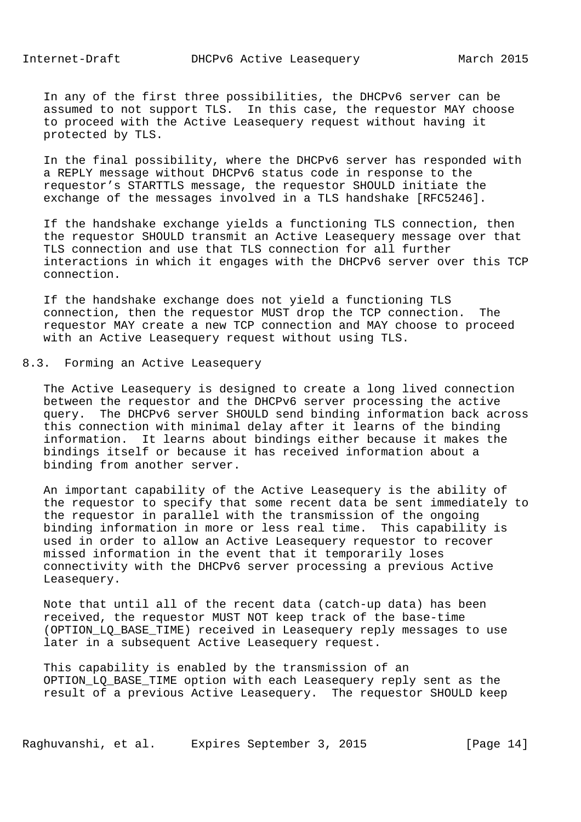In any of the first three possibilities, the DHCPv6 server can be assumed to not support TLS. In this case, the requestor MAY choose to proceed with the Active Leasequery request without having it protected by TLS.

 In the final possibility, where the DHCPv6 server has responded with a REPLY message without DHCPv6 status code in response to the requestor's STARTTLS message, the requestor SHOULD initiate the exchange of the messages involved in a TLS handshake [RFC5246].

 If the handshake exchange yields a functioning TLS connection, then the requestor SHOULD transmit an Active Leasequery message over that TLS connection and use that TLS connection for all further interactions in which it engages with the DHCPv6 server over this TCP connection.

 If the handshake exchange does not yield a functioning TLS connection, then the requestor MUST drop the TCP connection. The requestor MAY create a new TCP connection and MAY choose to proceed with an Active Leasequery request without using TLS.

## 8.3. Forming an Active Leasequery

 The Active Leasequery is designed to create a long lived connection between the requestor and the DHCPv6 server processing the active query. The DHCPv6 server SHOULD send binding information back across this connection with minimal delay after it learns of the binding information. It learns about bindings either because it makes the bindings itself or because it has received information about a binding from another server.

 An important capability of the Active Leasequery is the ability of the requestor to specify that some recent data be sent immediately to the requestor in parallel with the transmission of the ongoing binding information in more or less real time. This capability is used in order to allow an Active Leasequery requestor to recover missed information in the event that it temporarily loses connectivity with the DHCPv6 server processing a previous Active Leasequery.

 Note that until all of the recent data (catch-up data) has been received, the requestor MUST NOT keep track of the base-time (OPTION\_LQ\_BASE\_TIME) received in Leasequery reply messages to use later in a subsequent Active Leasequery request.

 This capability is enabled by the transmission of an OPTION\_LQ\_BASE\_TIME option with each Leasequery reply sent as the result of a previous Active Leasequery. The requestor SHOULD keep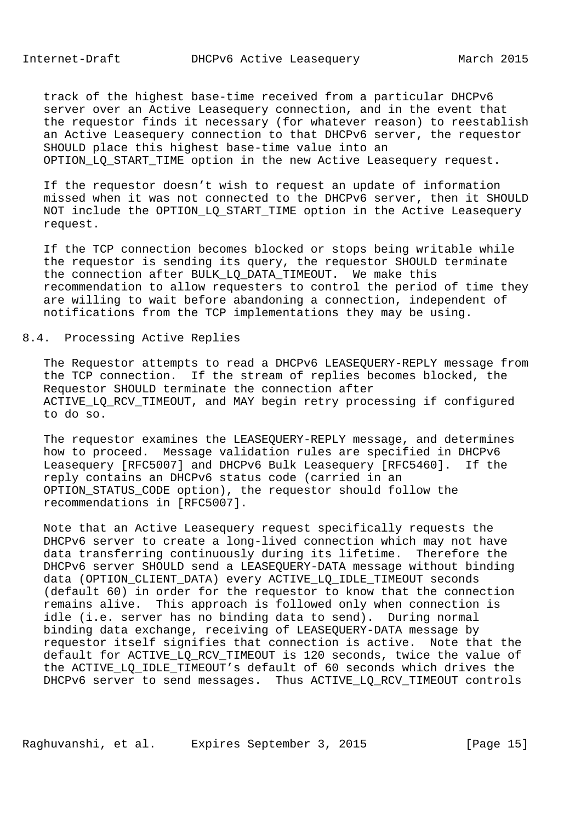track of the highest base-time received from a particular DHCPv6 server over an Active Leasequery connection, and in the event that the requestor finds it necessary (for whatever reason) to reestablish an Active Leasequery connection to that DHCPv6 server, the requestor SHOULD place this highest base-time value into an OPTION\_LQ\_START\_TIME option in the new Active Leasequery request.

 If the requestor doesn't wish to request an update of information missed when it was not connected to the DHCPv6 server, then it SHOULD NOT include the OPTION LO\_START\_TIME option in the Active Leasequery request.

 If the TCP connection becomes blocked or stops being writable while the requestor is sending its query, the requestor SHOULD terminate the connection after BULK\_LQ\_DATA\_TIMEOUT. We make this recommendation to allow requesters to control the period of time they are willing to wait before abandoning a connection, independent of notifications from the TCP implementations they may be using.

## 8.4. Processing Active Replies

 The Requestor attempts to read a DHCPv6 LEASEQUERY-REPLY message from the TCP connection. If the stream of replies becomes blocked, the Requestor SHOULD terminate the connection after ACTIVE\_LQ\_RCV\_TIMEOUT, and MAY begin retry processing if configured to do so.

 The requestor examines the LEASEQUERY-REPLY message, and determines how to proceed. Message validation rules are specified in DHCPv6 Leasequery [RFC5007] and DHCPv6 Bulk Leasequery [RFC5460]. If the reply contains an DHCPv6 status code (carried in an OPTION\_STATUS\_CODE option), the requestor should follow the recommendations in [RFC5007].

 Note that an Active Leasequery request specifically requests the DHCPv6 server to create a long-lived connection which may not have data transferring continuously during its lifetime. Therefore the DHCPv6 server SHOULD send a LEASEQUERY-DATA message without binding data (OPTION\_CLIENT\_DATA) every ACTIVE\_LQ\_IDLE\_TIMEOUT seconds (default 60) in order for the requestor to know that the connection remains alive. This approach is followed only when connection is idle (i.e. server has no binding data to send). During normal binding data exchange, receiving of LEASEQUERY-DATA message by requestor itself signifies that connection is active. Note that the default for ACTIVE\_LQ\_RCV\_TIMEOUT is 120 seconds, twice the value of the ACTIVE LQ IDLE TIMEOUT's default of 60 seconds which drives the DHCPv6 server to send messages. Thus ACTIVE\_LQ\_RCV\_TIMEOUT controls

Raghuvanshi, et al. Expires September 3, 2015 [Page 15]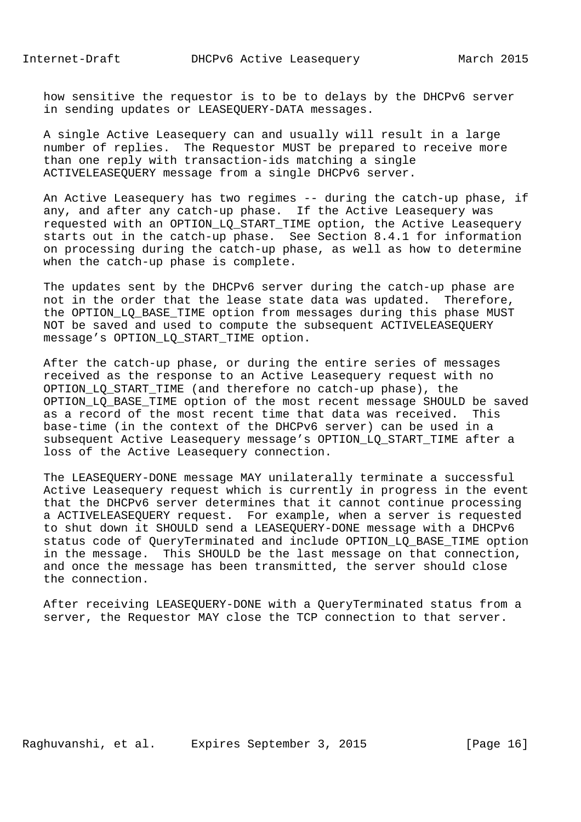how sensitive the requestor is to be to delays by the DHCPv6 server in sending updates or LEASEQUERY-DATA messages.

 A single Active Leasequery can and usually will result in a large number of replies. The Requestor MUST be prepared to receive more than one reply with transaction-ids matching a single ACTIVELEASEQUERY message from a single DHCPv6 server.

 An Active Leasequery has two regimes -- during the catch-up phase, if any, and after any catch-up phase. If the Active Leasequery was requested with an OPTION\_LQ\_START\_TIME option, the Active Leasequery starts out in the catch-up phase. See Section 8.4.1 for information on processing during the catch-up phase, as well as how to determine when the catch-up phase is complete.

 The updates sent by the DHCPv6 server during the catch-up phase are not in the order that the lease state data was updated. Therefore, the OPTION\_LQ\_BASE\_TIME option from messages during this phase MUST NOT be saved and used to compute the subsequent ACTIVELEASEQUERY message's OPTION\_LQ\_START\_TIME option.

 After the catch-up phase, or during the entire series of messages received as the response to an Active Leasequery request with no OPTION\_LQ\_START\_TIME (and therefore no catch-up phase), the OPTION\_LQ\_BASE\_TIME option of the most recent message SHOULD be saved as a record of the most recent time that data was received. This base-time (in the context of the DHCPv6 server) can be used in a subsequent Active Leasequery message's OPTION\_LQ\_START\_TIME after a loss of the Active Leasequery connection.

 The LEASEQUERY-DONE message MAY unilaterally terminate a successful Active Leasequery request which is currently in progress in the event that the DHCPv6 server determines that it cannot continue processing a ACTIVELEASEQUERY request. For example, when a server is requested to shut down it SHOULD send a LEASEQUERY-DONE message with a DHCPv6 status code of QueryTerminated and include OPTION\_LQ\_BASE\_TIME option in the message. This SHOULD be the last message on that connection, and once the message has been transmitted, the server should close the connection.

 After receiving LEASEQUERY-DONE with a QueryTerminated status from a server, the Requestor MAY close the TCP connection to that server.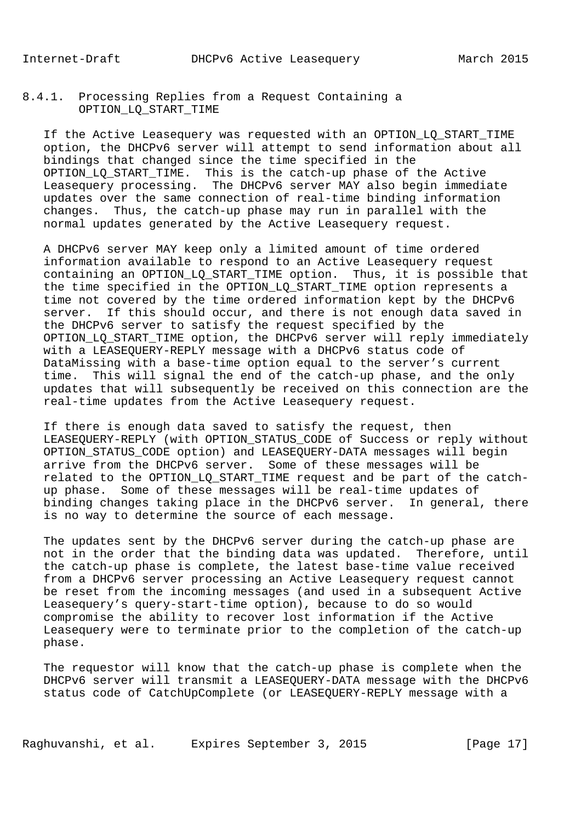# 8.4.1. Processing Replies from a Request Containing a OPTION\_LQ\_START\_TIME

If the Active Leasequery was requested with an OPTION LO START TIME option, the DHCPv6 server will attempt to send information about all bindings that changed since the time specified in the OPTION\_LQ\_START\_TIME. This is the catch-up phase of the Active Leasequery processing. The DHCPv6 server MAY also begin immediate updates over the same connection of real-time binding information changes. Thus, the catch-up phase may run in parallel with the normal updates generated by the Active Leasequery request.

 A DHCPv6 server MAY keep only a limited amount of time ordered information available to respond to an Active Leasequery request containing an OPTION\_LQ\_START\_TIME option. Thus, it is possible that the time specified in the OPTION LO START TIME option represents a time not covered by the time ordered information kept by the DHCPv6 server. If this should occur, and there is not enough data saved in the DHCPv6 server to satisfy the request specified by the OPTION\_LQ\_START\_TIME option, the DHCPv6 server will reply immediately with a LEASEQUERY-REPLY message with a DHCPv6 status code of DataMissing with a base-time option equal to the server's current time. This will signal the end of the catch-up phase, and the only updates that will subsequently be received on this connection are the real-time updates from the Active Leasequery request.

 If there is enough data saved to satisfy the request, then LEASEQUERY-REPLY (with OPTION\_STATUS\_CODE of Success or reply without OPTION\_STATUS\_CODE option) and LEASEQUERY-DATA messages will begin arrive from the DHCPv6 server. Some of these messages will be related to the OPTION\_LQ\_START\_TIME request and be part of the catch up phase. Some of these messages will be real-time updates of binding changes taking place in the DHCPv6 server. In general, there is no way to determine the source of each message.

 The updates sent by the DHCPv6 server during the catch-up phase are not in the order that the binding data was updated. Therefore, until the catch-up phase is complete, the latest base-time value received from a DHCPv6 server processing an Active Leasequery request cannot be reset from the incoming messages (and used in a subsequent Active Leasequery's query-start-time option), because to do so would compromise the ability to recover lost information if the Active Leasequery were to terminate prior to the completion of the catch-up phase.

 The requestor will know that the catch-up phase is complete when the DHCPv6 server will transmit a LEASEQUERY-DATA message with the DHCPv6 status code of CatchUpComplete (or LEASEQUERY-REPLY message with a

Raghuvanshi, et al. Expires September 3, 2015 [Page 17]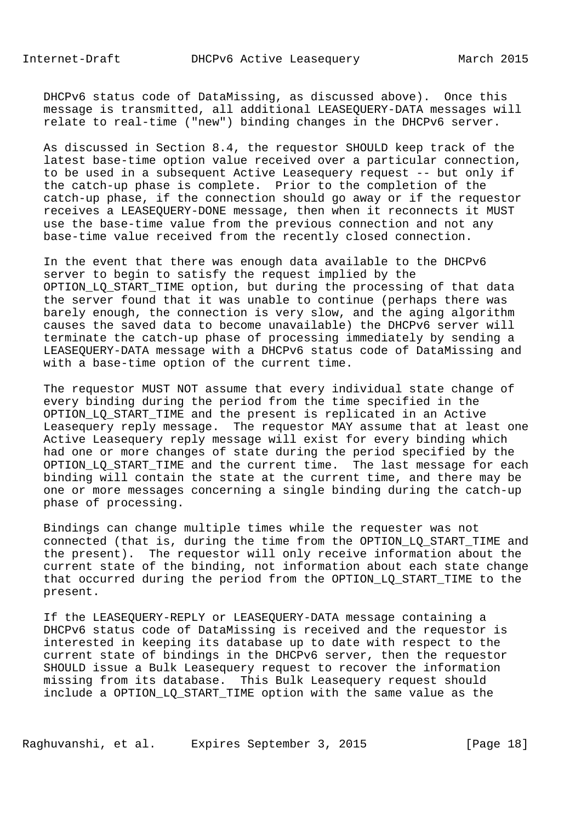DHCPv6 status code of DataMissing, as discussed above). Once this message is transmitted, all additional LEASEQUERY-DATA messages will relate to real-time ("new") binding changes in the DHCPv6 server.

 As discussed in Section 8.4, the requestor SHOULD keep track of the latest base-time option value received over a particular connection, to be used in a subsequent Active Leasequery request -- but only if the catch-up phase is complete. Prior to the completion of the catch-up phase, if the connection should go away or if the requestor receives a LEASEQUERY-DONE message, then when it reconnects it MUST use the base-time value from the previous connection and not any base-time value received from the recently closed connection.

 In the event that there was enough data available to the DHCPv6 server to begin to satisfy the request implied by the OPTION\_LQ\_START\_TIME option, but during the processing of that data the server found that it was unable to continue (perhaps there was barely enough, the connection is very slow, and the aging algorithm causes the saved data to become unavailable) the DHCPv6 server will terminate the catch-up phase of processing immediately by sending a LEASEQUERY-DATA message with a DHCPv6 status code of DataMissing and with a base-time option of the current time.

 The requestor MUST NOT assume that every individual state change of every binding during the period from the time specified in the OPTION\_LQ\_START\_TIME and the present is replicated in an Active Leasequery reply message. The requestor MAY assume that at least one Active Leasequery reply message will exist for every binding which had one or more changes of state during the period specified by the OPTION LO START TIME and the current time. The last message for each binding will contain the state at the current time, and there may be one or more messages concerning a single binding during the catch-up phase of processing.

 Bindings can change multiple times while the requester was not connected (that is, during the time from the OPTION\_LQ\_START\_TIME and the present). The requestor will only receive information about the current state of the binding, not information about each state change that occurred during the period from the OPTION\_LQ\_START\_TIME to the present.

 If the LEASEQUERY-REPLY or LEASEQUERY-DATA message containing a DHCPv6 status code of DataMissing is received and the requestor is interested in keeping its database up to date with respect to the current state of bindings in the DHCPv6 server, then the requestor SHOULD issue a Bulk Leasequery request to recover the information missing from its database. This Bulk Leasequery request should include a OPTION\_LQ\_START\_TIME option with the same value as the

Raghuvanshi, et al. Expires September 3, 2015 [Page 18]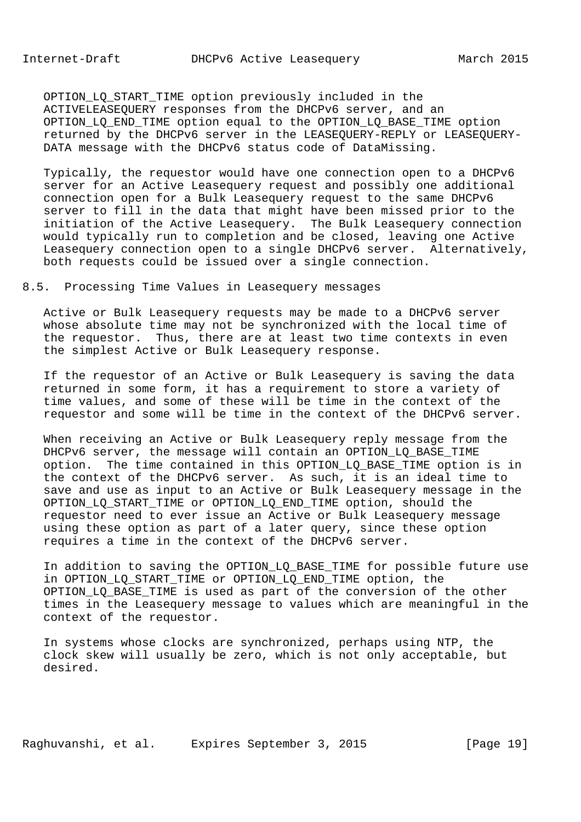OPTION\_LQ\_START\_TIME option previously included in the ACTIVELEASEQUERY responses from the DHCPv6 server, and an OPTION\_LQ\_END\_TIME option equal to the OPTION\_LQ\_BASE\_TIME option returned by the DHCPv6 server in the LEASEQUERY-REPLY or LEASEQUERY- DATA message with the DHCPv6 status code of DataMissing.

 Typically, the requestor would have one connection open to a DHCPv6 server for an Active Leasequery request and possibly one additional connection open for a Bulk Leasequery request to the same DHCPv6 server to fill in the data that might have been missed prior to the initiation of the Active Leasequery. The Bulk Leasequery connection would typically run to completion and be closed, leaving one Active Leasequery connection open to a single DHCPv6 server. Alternatively, both requests could be issued over a single connection.

8.5. Processing Time Values in Leasequery messages

 Active or Bulk Leasequery requests may be made to a DHCPv6 server whose absolute time may not be synchronized with the local time of the requestor. Thus, there are at least two time contexts in even the simplest Active or Bulk Leasequery response.

 If the requestor of an Active or Bulk Leasequery is saving the data returned in some form, it has a requirement to store a variety of time values, and some of these will be time in the context of the requestor and some will be time in the context of the DHCPv6 server.

 When receiving an Active or Bulk Leasequery reply message from the DHCPv6 server, the message will contain an OPTION\_LQ\_BASE\_TIME option. The time contained in this OPTION\_LQ\_BASE\_TIME option is in the context of the DHCPv6 server. As such, it is an ideal time to save and use as input to an Active or Bulk Leasequery message in the OPTION\_LQ\_START\_TIME or OPTION\_LQ\_END\_TIME option, should the requestor need to ever issue an Active or Bulk Leasequery message using these option as part of a later query, since these option requires a time in the context of the DHCPv6 server.

In addition to saving the OPTION LQ BASE TIME for possible future use in OPTION\_LQ\_START\_TIME or OPTION\_LQ\_END\_TIME option, the OPTION\_LQ\_BASE\_TIME is used as part of the conversion of the other times in the Leasequery message to values which are meaningful in the context of the requestor.

 In systems whose clocks are synchronized, perhaps using NTP, the clock skew will usually be zero, which is not only acceptable, but desired.

Raghuvanshi, et al. Expires September 3, 2015 [Page 19]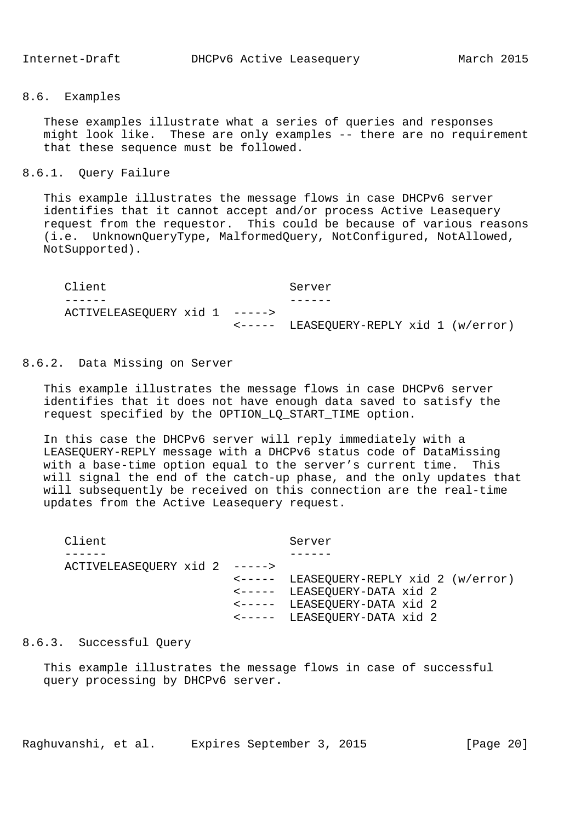### 8.6. Examples

 These examples illustrate what a series of queries and responses might look like. These are only examples -- there are no requirement that these sequence must be followed.

## 8.6.1. Query Failure

 This example illustrates the message flows in case DHCPv6 server identifies that it cannot accept and/or process Active Leasequery request from the requestor. This could be because of various reasons (i.e. UnknownQueryType, MalformedQuery, NotConfigured, NotAllowed, NotSupported).

Client Server ------ ------ ACTIVELEASEQUERY xid 1 -----> <----- LEASEQUERY-REPLY xid 1 (w/error)

### 8.6.2. Data Missing on Server

 This example illustrates the message flows in case DHCPv6 server identifies that it does not have enough data saved to satisfy the request specified by the OPTION\_LQ\_START\_TIME option.

 In this case the DHCPv6 server will reply immediately with a LEASEQUERY-REPLY message with a DHCPv6 status code of DataMissing with a base-time option equal to the server's current time. This will signal the end of the catch-up phase, and the only updates that will subsequently be received on this connection are the real-time updates from the Active Leasequery request.

| Client                        | Server                                  |
|-------------------------------|-----------------------------------------|
|                               |                                         |
| ACTIVELEASEQUERY xid 2 -----> |                                         |
|                               | <----- LEASEQUERY-REPLY xid 2 (w/error) |
|                               | <----- LEASEQUERY-DATA xid 2            |
|                               | <----- LEASEQUERY-DATA xid 2            |
|                               | <----- LEASEQUERY-DATA xid 2            |

# 8.6.3. Successful Query

 This example illustrates the message flows in case of successful query processing by DHCPv6 server.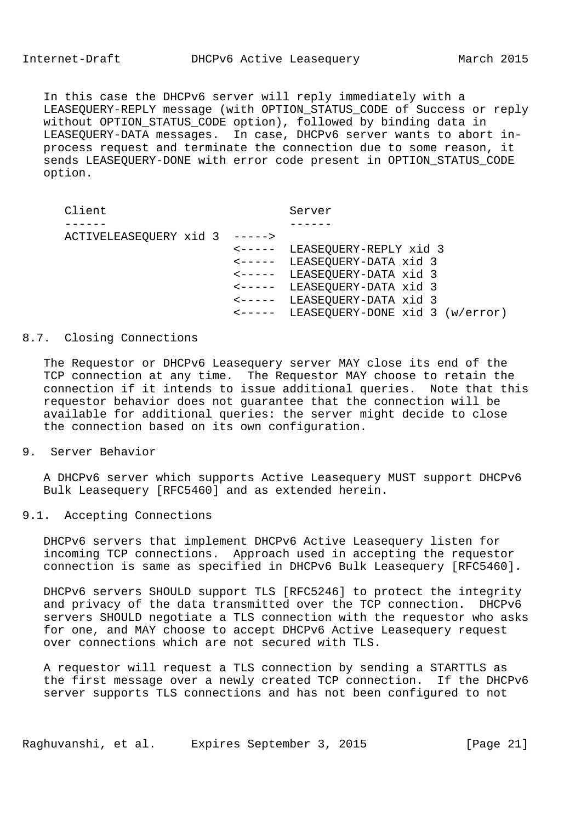In this case the DHCPv6 server will reply immediately with a LEASEQUERY-REPLY message (with OPTION\_STATUS\_CODE of Success or reply without OPTION\_STATUS\_CODE option), followed by binding data in LEASEQUERY-DATA messages. In case, DHCPv6 server wants to abort in process request and terminate the connection due to some reason, it sends LEASEQUERY-DONE with error code present in OPTION\_STATUS\_CODE option.

| Client                        | Server                                 |  |
|-------------------------------|----------------------------------------|--|
|                               |                                        |  |
| ACTIVELEASEQUERY xid 3 -----> |                                        |  |
|                               | <----- LEASEQUERY-REPLY xid 3          |  |
|                               | <----- LEASEQUERY-DATA xid 3           |  |
|                               | <----- LEASEQUERY-DATA xid 3           |  |
|                               | <----- LEASEQUERY-DATA xid 3           |  |
|                               | <----- LEASEQUERY-DATA xid 3           |  |
|                               | <----- LEASEQUERY-DONE xid 3 (w/error) |  |
|                               |                                        |  |

## 8.7. Closing Connections

 The Requestor or DHCPv6 Leasequery server MAY close its end of the TCP connection at any time. The Requestor MAY choose to retain the connection if it intends to issue additional queries. Note that this requestor behavior does not guarantee that the connection will be available for additional queries: the server might decide to close the connection based on its own configuration.

### 9. Server Behavior

 A DHCPv6 server which supports Active Leasequery MUST support DHCPv6 Bulk Leasequery [RFC5460] and as extended herein.

## 9.1. Accepting Connections

 DHCPv6 servers that implement DHCPv6 Active Leasequery listen for incoming TCP connections. Approach used in accepting the requestor connection is same as specified in DHCPv6 Bulk Leasequery [RFC5460].

 DHCPv6 servers SHOULD support TLS [RFC5246] to protect the integrity and privacy of the data transmitted over the TCP connection. DHCPv6 servers SHOULD negotiate a TLS connection with the requestor who asks for one, and MAY choose to accept DHCPv6 Active Leasequery request over connections which are not secured with TLS.

 A requestor will request a TLS connection by sending a STARTTLS as the first message over a newly created TCP connection. If the DHCPv6 server supports TLS connections and has not been configured to not

Raghuvanshi, et al. Expires September 3, 2015 [Page 21]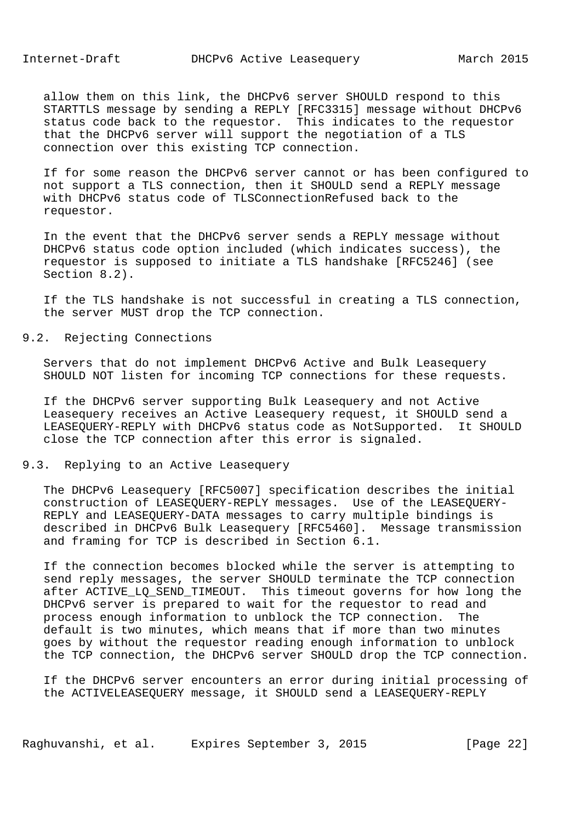allow them on this link, the DHCPv6 server SHOULD respond to this STARTTLS message by sending a REPLY [RFC3315] message without DHCPv6 status code back to the requestor. This indicates to the requestor that the DHCPv6 server will support the negotiation of a TLS connection over this existing TCP connection.

 If for some reason the DHCPv6 server cannot or has been configured to not support a TLS connection, then it SHOULD send a REPLY message with DHCPv6 status code of TLSConnectionRefused back to the requestor.

 In the event that the DHCPv6 server sends a REPLY message without DHCPv6 status code option included (which indicates success), the requestor is supposed to initiate a TLS handshake [RFC5246] (see Section 8.2).

 If the TLS handshake is not successful in creating a TLS connection, the server MUST drop the TCP connection.

## 9.2. Rejecting Connections

 Servers that do not implement DHCPv6 Active and Bulk Leasequery SHOULD NOT listen for incoming TCP connections for these requests.

 If the DHCPv6 server supporting Bulk Leasequery and not Active Leasequery receives an Active Leasequery request, it SHOULD send a LEASEQUERY-REPLY with DHCPv6 status code as NotSupported. It SHOULD close the TCP connection after this error is signaled.

# 9.3. Replying to an Active Leasequery

 The DHCPv6 Leasequery [RFC5007] specification describes the initial construction of LEASEQUERY-REPLY messages. Use of the LEASEQUERY- REPLY and LEASEQUERY-DATA messages to carry multiple bindings is described in DHCPv6 Bulk Leasequery [RFC5460]. Message transmission and framing for TCP is described in Section 6.1.

 If the connection becomes blocked while the server is attempting to send reply messages, the server SHOULD terminate the TCP connection after ACTIVE\_LQ\_SEND\_TIMEOUT. This timeout governs for how long the DHCPv6 server is prepared to wait for the requestor to read and process enough information to unblock the TCP connection. The default is two minutes, which means that if more than two minutes goes by without the requestor reading enough information to unblock the TCP connection, the DHCPv6 server SHOULD drop the TCP connection.

 If the DHCPv6 server encounters an error during initial processing of the ACTIVELEASEQUERY message, it SHOULD send a LEASEQUERY-REPLY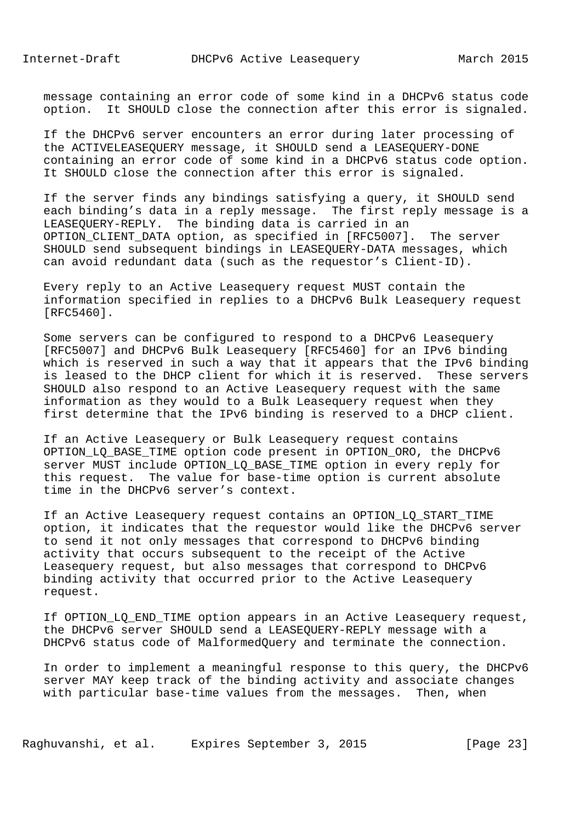message containing an error code of some kind in a DHCPv6 status code option. It SHOULD close the connection after this error is signaled.

 If the DHCPv6 server encounters an error during later processing of the ACTIVELEASEQUERY message, it SHOULD send a LEASEQUERY-DONE containing an error code of some kind in a DHCPv6 status code option. It SHOULD close the connection after this error is signaled.

 If the server finds any bindings satisfying a query, it SHOULD send each binding's data in a reply message. The first reply message is a LEASEQUERY-REPLY. The binding data is carried in an OPTION\_CLIENT\_DATA option, as specified in [RFC5007]. The server SHOULD send subsequent bindings in LEASEQUERY-DATA messages, which can avoid redundant data (such as the requestor's Client-ID).

 Every reply to an Active Leasequery request MUST contain the information specified in replies to a DHCPv6 Bulk Leasequery request [RFC5460].

 Some servers can be configured to respond to a DHCPv6 Leasequery [RFC5007] and DHCPv6 Bulk Leasequery [RFC5460] for an IPv6 binding which is reserved in such a way that it appears that the IPv6 binding is leased to the DHCP client for which it is reserved. These servers SHOULD also respond to an Active Leasequery request with the same information as they would to a Bulk Leasequery request when they first determine that the IPv6 binding is reserved to a DHCP client.

 If an Active Leasequery or Bulk Leasequery request contains OPTION\_LQ\_BASE\_TIME option code present in OPTION\_ORO, the DHCPv6 server MUST include OPTION\_LQ\_BASE\_TIME option in every reply for this request. The value for base-time option is current absolute time in the DHCPv6 server's context.

 If an Active Leasequery request contains an OPTION\_LQ\_START\_TIME option, it indicates that the requestor would like the DHCPv6 server to send it not only messages that correspond to DHCPv6 binding activity that occurs subsequent to the receipt of the Active Leasequery request, but also messages that correspond to DHCPv6 binding activity that occurred prior to the Active Leasequery request.

If OPTION LQ END TIME option appears in an Active Leasequery request, the DHCPv6 server SHOULD send a LEASEQUERY-REPLY message with a DHCPv6 status code of MalformedQuery and terminate the connection.

 In order to implement a meaningful response to this query, the DHCPv6 server MAY keep track of the binding activity and associate changes with particular base-time values from the messages. Then, when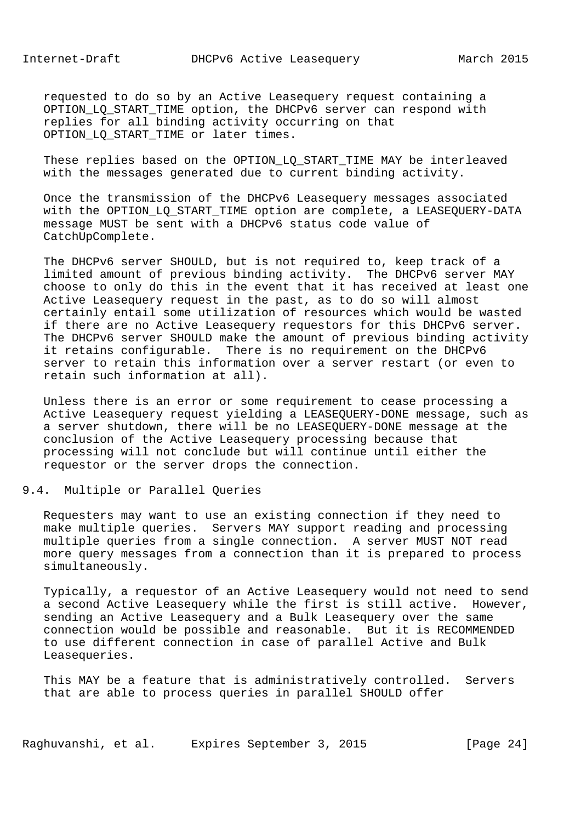requested to do so by an Active Leasequery request containing a OPTION\_LQ\_START\_TIME option, the DHCPv6 server can respond with replies for all binding activity occurring on that OPTION LO START TIME or later times.

 These replies based on the OPTION\_LQ\_START\_TIME MAY be interleaved with the messages generated due to current binding activity.

 Once the transmission of the DHCPv6 Leasequery messages associated with the OPTION LO START TIME option are complete, a LEASEQUERY-DATA message MUST be sent with a DHCPv6 status code value of CatchUpComplete.

 The DHCPv6 server SHOULD, but is not required to, keep track of a limited amount of previous binding activity. The DHCPv6 server MAY choose to only do this in the event that it has received at least one Active Leasequery request in the past, as to do so will almost certainly entail some utilization of resources which would be wasted if there are no Active Leasequery requestors for this DHCPv6 server. The DHCPv6 server SHOULD make the amount of previous binding activity it retains configurable. There is no requirement on the DHCPv6 server to retain this information over a server restart (or even to retain such information at all).

 Unless there is an error or some requirement to cease processing a Active Leasequery request yielding a LEASEQUERY-DONE message, such as a server shutdown, there will be no LEASEQUERY-DONE message at the conclusion of the Active Leasequery processing because that processing will not conclude but will continue until either the requestor or the server drops the connection.

9.4. Multiple or Parallel Queries

 Requesters may want to use an existing connection if they need to make multiple queries. Servers MAY support reading and processing multiple queries from a single connection. A server MUST NOT read more query messages from a connection than it is prepared to process simultaneously.

 Typically, a requestor of an Active Leasequery would not need to send a second Active Leasequery while the first is still active. However, sending an Active Leasequery and a Bulk Leasequery over the same connection would be possible and reasonable. But it is RECOMMENDED to use different connection in case of parallel Active and Bulk Leasequeries.

 This MAY be a feature that is administratively controlled. Servers that are able to process queries in parallel SHOULD offer

Raghuvanshi, et al. Expires September 3, 2015 [Page 24]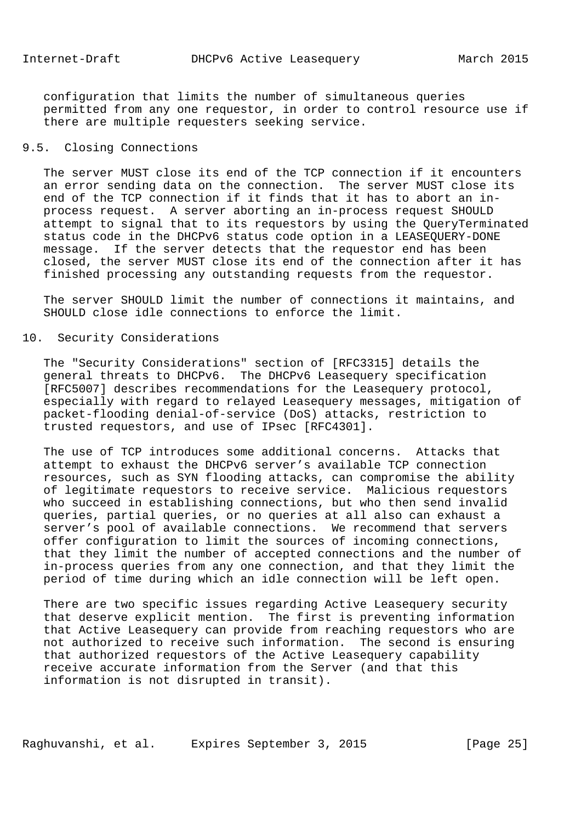configuration that limits the number of simultaneous queries permitted from any one requestor, in order to control resource use if there are multiple requesters seeking service.

## 9.5. Closing Connections

 The server MUST close its end of the TCP connection if it encounters an error sending data on the connection. The server MUST close its end of the TCP connection if it finds that it has to abort an in process request. A server aborting an in-process request SHOULD attempt to signal that to its requestors by using the QueryTerminated status code in the DHCPv6 status code option in a LEASEQUERY-DONE message. If the server detects that the requestor end has been closed, the server MUST close its end of the connection after it has finished processing any outstanding requests from the requestor.

 The server SHOULD limit the number of connections it maintains, and SHOULD close idle connections to enforce the limit.

## 10. Security Considerations

 The "Security Considerations" section of [RFC3315] details the general threats to DHCPv6. The DHCPv6 Leasequery specification [RFC5007] describes recommendations for the Leasequery protocol, especially with regard to relayed Leasequery messages, mitigation of packet-flooding denial-of-service (DoS) attacks, restriction to trusted requestors, and use of IPsec [RFC4301].

 The use of TCP introduces some additional concerns. Attacks that attempt to exhaust the DHCPv6 server's available TCP connection resources, such as SYN flooding attacks, can compromise the ability of legitimate requestors to receive service. Malicious requestors who succeed in establishing connections, but who then send invalid queries, partial queries, or no queries at all also can exhaust a server's pool of available connections. We recommend that servers offer configuration to limit the sources of incoming connections, that they limit the number of accepted connections and the number of in-process queries from any one connection, and that they limit the period of time during which an idle connection will be left open.

 There are two specific issues regarding Active Leasequery security that deserve explicit mention. The first is preventing information that Active Leasequery can provide from reaching requestors who are not authorized to receive such information. The second is ensuring that authorized requestors of the Active Leasequery capability receive accurate information from the Server (and that this information is not disrupted in transit).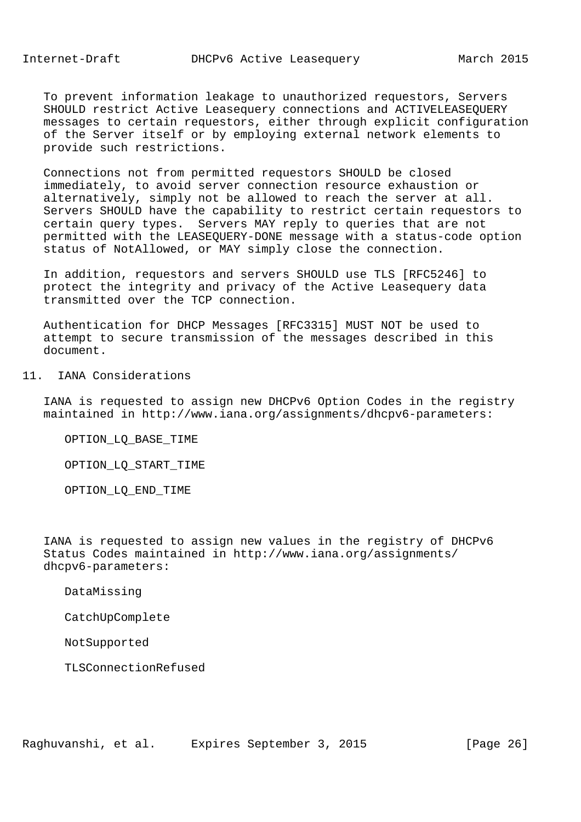To prevent information leakage to unauthorized requestors, Servers SHOULD restrict Active Leasequery connections and ACTIVELEASEQUERY messages to certain requestors, either through explicit configuration of the Server itself or by employing external network elements to provide such restrictions.

 Connections not from permitted requestors SHOULD be closed immediately, to avoid server connection resource exhaustion or alternatively, simply not be allowed to reach the server at all. Servers SHOULD have the capability to restrict certain requestors to certain query types. Servers MAY reply to queries that are not permitted with the LEASEQUERY-DONE message with a status-code option status of NotAllowed, or MAY simply close the connection.

 In addition, requestors and servers SHOULD use TLS [RFC5246] to protect the integrity and privacy of the Active Leasequery data transmitted over the TCP connection.

 Authentication for DHCP Messages [RFC3315] MUST NOT be used to attempt to secure transmission of the messages described in this document.

# 11. IANA Considerations

 IANA is requested to assign new DHCPv6 Option Codes in the registry maintained in http://www.iana.org/assignments/dhcpv6-parameters:

OPTION\_LQ\_BASE\_TIME

OPTION\_LQ\_START\_TIME

OPTION\_LQ\_END\_TIME

 IANA is requested to assign new values in the registry of DHCPv6 Status Codes maintained in http://www.iana.org/assignments/ dhcpv6-parameters:

DataMissing

CatchUpComplete

NotSupported

TLSConnectionRefused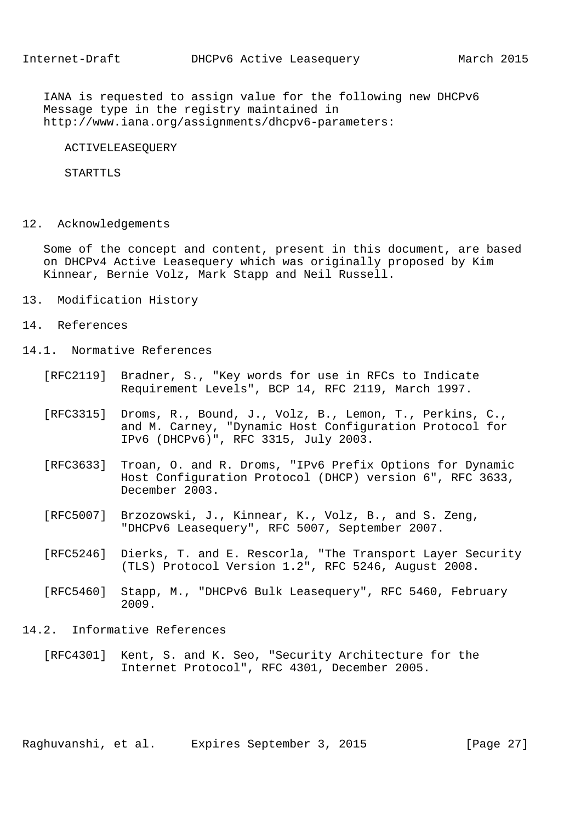IANA is requested to assign value for the following new DHCPv6 Message type in the registry maintained in http://www.iana.org/assignments/dhcpv6-parameters:

ACTIVELEASEQUERY

STARTTLS

12. Acknowledgements

 Some of the concept and content, present in this document, are based on DHCPv4 Active Leasequery which was originally proposed by Kim Kinnear, Bernie Volz, Mark Stapp and Neil Russell.

- 13. Modification History
- 14. References
- 14.1. Normative References
	- [RFC2119] Bradner, S., "Key words for use in RFCs to Indicate Requirement Levels", BCP 14, RFC 2119, March 1997.
	- [RFC3315] Droms, R., Bound, J., Volz, B., Lemon, T., Perkins, C., and M. Carney, "Dynamic Host Configuration Protocol for IPv6 (DHCPv6)", RFC 3315, July 2003.
	- [RFC3633] Troan, O. and R. Droms, "IPv6 Prefix Options for Dynamic Host Configuration Protocol (DHCP) version 6", RFC 3633, December 2003.
	- [RFC5007] Brzozowski, J., Kinnear, K., Volz, B., and S. Zeng, "DHCPv6 Leasequery", RFC 5007, September 2007.
	- [RFC5246] Dierks, T. and E. Rescorla, "The Transport Layer Security (TLS) Protocol Version 1.2", RFC 5246, August 2008.
	- [RFC5460] Stapp, M., "DHCPv6 Bulk Leasequery", RFC 5460, February 2009.
- 14.2. Informative References
	- [RFC4301] Kent, S. and K. Seo, "Security Architecture for the Internet Protocol", RFC 4301, December 2005.

Raghuvanshi, et al. Expires September 3, 2015 [Page 27]